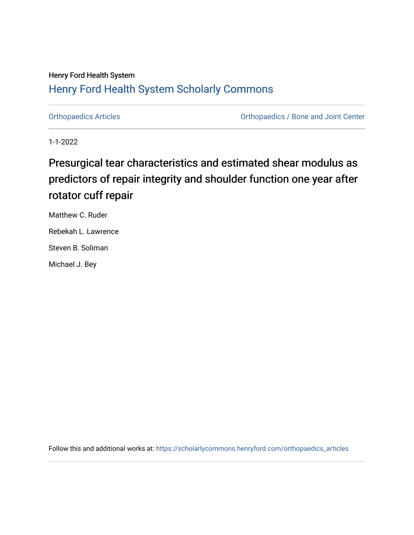# Henry Ford Health System [Henry Ford Health System Scholarly Commons](https://scholarlycommons.henryford.com/)

[Orthopaedics Articles](https://scholarlycommons.henryford.com/orthopaedics_articles) [Orthopaedics / Bone and Joint Center](https://scholarlycommons.henryford.com/orthopaedics) 

1-1-2022

# Presurgical tear characteristics and estimated shear modulus as predictors of repair integrity and shoulder function one year after rotator cuff repair

Matthew C. Ruder Rebekah L. Lawrence Steven B. Soliman

Michael J. Bey

Follow this and additional works at: [https://scholarlycommons.henryford.com/orthopaedics\\_articles](https://scholarlycommons.henryford.com/orthopaedics_articles?utm_source=scholarlycommons.henryford.com%2Forthopaedics_articles%2F383&utm_medium=PDF&utm_campaign=PDFCoverPages)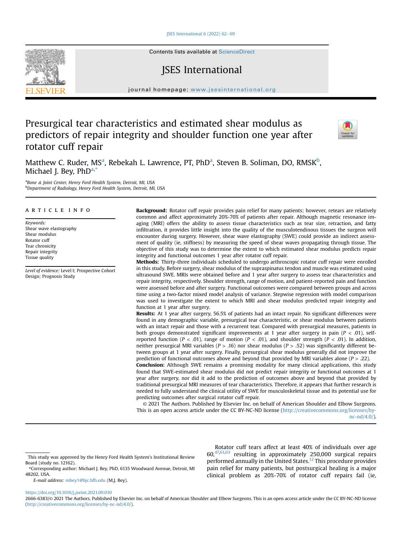ISES International  $6(2022)$  62-[69](https://doi.org/10.1016/j.jseint.2021.09.010)

Contents lists available at ScienceDirect

# JSES International

journal homepage: [www.jsesinternational.org](http://www.jsesinternational.org)

# Presurgical tear characteristics and estimated shear modulus as predictors of repair integrity and shoulder function one year after rotator cuff repair



M[a](#page-1-0)tthew C. Ruder, MS<sup>a</sup>, Rebekah L. Lawrence, PT, PhD<sup>a</sup>, Steven B. Soliman, DO, RMSK<sup>b</sup>, Michael I. Bev. PhD<sup>[a,](#page-1-0)[\\*](#page-1-2)</sup>

<span id="page-1-1"></span><span id="page-1-0"></span><sup>a</sup>Bone & Joint Center, Henry Ford Health System, Detroit, MI, USA <sup>b</sup>Department of Radiology, Henry Ford Health System, Detroit, MI, USA

### article info

Keywords: Shear wave elastography Shear modulus Rotator cuff Tear chronicity Repair integrity Tissue quality

Level of evidence: Level I; Prospective Cohort Design; Prognosis Study

Background: Rotator cuff repair provides pain relief for many patients; however, retears are relatively common and affect approximately 20%-70% of patients after repair. Although magnetic resonance imaging (MRI) offers the ability to assess tissue characteristics such as tear size, retraction, and fatty infiltration, it provides little insight into the quality of the musculotendinous tissues the surgeon will encounter during surgery. However, shear wave elastography (SWE) could provide an indirect assessment of quality (ie, stiffness) by measuring the speed of shear waves propagating through tissue. The objective of this study was to determine the extent to which estimated shear modulus predicts repair integrity and functional outcomes 1 year after rotator cuff repair.

Methods: Thirty-three individuals scheduled to undergo arthroscopic rotator cuff repair were enrolled in this study. Before surgery, shear modulus of the supraspinatus tendon and muscle was estimated using ultrasound SWE. MRIs were obtained before and 1 year after surgery to assess tear characteristics and repair integrity, respectively. Shoulder strength, range of motion, and patient-reported pain and function were assessed before and after surgery. Functional outcomes were compared between groups and across time using a two-factor mixed model analysis of variance. Stepwise regression with model comparison was used to investigate the extent to which MRI and shear modulus predicted repair integrity and function at 1 year after surgery.

Results: At 1 year after surgery, 56.5% of patients had an intact repair. No significant differences were found in any demographic variable, presurgical tear characteristic, or shear modulus between patients with an intact repair and those with a recurrent tear. Compared with presurgical measures, patients in both groups demonstrated significant improvements at 1 year after surgery in pain ( $P < .01$ ), selfreported function ( $P < .01$ ), range of motion ( $P < .01$ ), and shoulder strength ( $P < .01$ ). In addition, neither presurgical MRI variables ( $P > .16$ ) nor shear modulus ( $P > .52$ ) was significantly different between groups at 1 year after surgery. Finally, presurgical shear modulus generally did not improve the prediction of functional outcomes above and beyond that provided by MRI variables alone ( $P > .22$ ). Conclusion: Although SWE remains a promising modality for many clinical applications, this study

found that SWE-estimated shear modulus did not predict repair integrity or functional outcomes at 1 year after surgery, nor did it add to the prediction of outcomes above and beyond that provided by traditional presurgical MRI measures of tear characteristics. Therefore, it appears that further research is needed to fully understand the clinical utility of SWE for musculoskeletal tissue and its potential use for predicting outcomes after surgical rotator cuff repair.

© 2021 The Authors. Published by Elsevier Inc. on behalf of American Shoulder and Elbow Surgeons. This is an open access article under the CC BY-NC-ND license [\(http://creativecommons.org/licenses/by](http://creativecommons.org/licenses/by-nc-nd/4.0/)[nc-nd/4.0/](http://creativecommons.org/licenses/by-nc-nd/4.0/)).

Rotator cuff tears affect at least 40% of individuals over age  $60,47,61,63$  $60,47,61,63$  $60,47,61,63$  resulting in approximately 250,000 surgical repairs performed annually in the United States.[12](#page-7-0) This procedure provides pain relief for many patients, but postsurgical healing is a major clinical problem as 20%-70% of rotator cuff repairs fail (ie,

<https://doi.org/10.1016/j.jseint.2021.09.010>



This study was approved by the Henry Ford Health System's Institutional Review Board (study no. 12162).

<span id="page-1-2"></span><sup>\*</sup>Corresponding author: Michael J. Bey, PhD, 6135 Woodward Avenue, Detroit, MI 48202, USA.

E-mail address: [mbey1@bjc.hfh.edu](mailto:mbey1@bjc.hfh.edu) (M.J. Bey).

<sup>2666-6383/</sup>© 2021 The Authors. Published by Elsevier Inc. on behalf of American Shoulder and Elbow Surgeons. This is an open access article under the CC BY-NC-ND license [\(http://creativecommons.org/licenses/by-nc-nd/4.0/](http://creativecommons.org/licenses/by-nc-nd/4.0/)).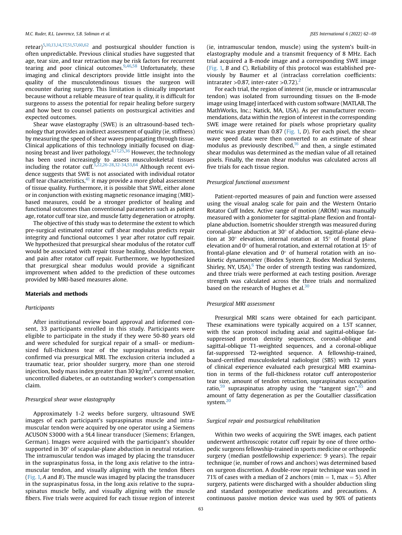retear)[5](#page-6-0)[,10,13,14,37,51,](#page-7-0)[57,60,62](#page-8-0) and postsurgical shoulder function is often unpredictable. Previous clinical studies have suggested that age, tear size, and tear retraction may be risk factors for recurrent tearing and poor clinical outcomes.<sup>[9](#page-7-0),[46](#page-7-0)[,58](#page-8-0)</sup> Unfortunately, these imaging and clinical descriptors provide little insight into the quality of the musculotendinous tissues the surgeon will encounter during surgery. This limitation is clinically important because without a reliable measure of tear quality, it is difficult for surgeons to assess the potential for repair healing before surgery and how best to counsel patients on postsurgical activities and expected outcomes.

Shear wave elastography (SWE) is an ultrasound-based technology that provides an indirect assessment of quality (ie, stiffness) by measuring the speed of shear waves propagating through tissue. Clinical applications of this technology initially focused on diagnosing breast and liver pathology.[4](#page-6-0),[17,25,36](#page-7-0) However, the technology has been used increasingly to assess musculoskeletal tissues including the rotator cuff.<sup>[3](#page-6-0),[22,26-28,32-34](#page-7-0),[53,64](#page-8-0)</sup> Although recent evidence suggests that SWE is not associated with individual rotator cuff tear characteristics, $41$  it may provide a more global assessment of tissue quality. Furthermore, it is possible that SWE, either alone or in conjunction with existing magnetic resonance imaging (MRI) based measures, could be a stronger predictor of healing and functional outcomes than conventional parameters such as patient age, rotator cuff tear size, and muscle fatty degeneration or atrophy.

The objective of this study was to determine the extent to which pre-surgical estimated rotator cuff shear modulus predicts repair integrity and functional outcomes 1 year after rotator cuff repair. We hypothesized that presurgical shear modulus of the rotator cuff would be associated with repair tissue healing, shoulder function, and pain after rotator cuff repair. Furthermore, we hypothesized that presurgical shear modulus would provide a significant improvement when added to the prediction of these outcomes provided by MRI-based measures alone.

#### Materials and methods

#### Participants

After institutional review board approval and informed consent, 33 participants enrolled in this study. Participants were eligible to participate in the study if they were 50-80 years old and were scheduled for surgical repair of a small- or mediumsized full-thickness tear of the supraspinatus tendon, as confirmed via presurgical MRI. The exclusion criteria included a traumatic tear, prior shoulder surgery, more than one steroid injection, body mass index greater than 30 kg/ $m<sup>2</sup>$ , current smoker, uncontrolled diabetes, or an outstanding worker's compensation claim.

#### Presurgical shear wave elastography

Approximately 1-2 weeks before surgery, ultrasound SWE images of each participant's supraspinatus muscle and intramuscular tendon were acquired by one operator using a Siemens ACUSON S3000 with a 9L4 linear transducer (Siemens; Erlangen, German). Images were acquired with the participant's shoulder supported in  $30^{\circ}$  of scapular-plane abduction in neutral rotation. The intramuscular tendon was imaged by placing the transducer in the supraspinatus fossa, in the long axis relative to the intramuscular tendon, and visually aligning with the tendon fibers ([Fig. 1,](#page-3-0) A and B). The muscle was imaged by placing the transducer in the supraspinatus fossa, in the long axis relative to the supraspinatus muscle belly, and visually aligning with the muscle fibers. Five trials were acquired for each tissue region of interest (ie, intramuscular tendon, muscle) using the system's built-in elastography module and a transmit frequency of 8 MHz. Each trial acquired a B-mode image and a corresponding SWE image ([Fig. 1,](#page-3-0) B and C). Reliability of this protocol was established previously by Baumer et al (intraclass correlation coefficients: intrarater > 0.87, inter-rater > 0.7[2](#page-6-0)).<sup>2</sup>

For each trial, the region of interest (ie, muscle or intramuscular tendon) was isolated from surrounding tissues on the B-mode image using ImageJ interfaced with custom software (MATLAB, The MathWorks, Inc.; Natick, MA, USA). As per manufacturer recommendations, data within the region of interest in the corresponding SWE image were retained for pixels whose proprietary quality metric was greater than 0.87 ([Fig. 1,](#page-3-0) D). For each pixel, the shear wave speed data were then converted to an estimate of shear modulus as previously described, $16$  and then, a single estimated shear modulus was determined as the median value of all retained pixels. Finally, the mean shear modulus was calculated across all five trials for each tissue region.

#### Presurgical functional assessment

Patient-reported measures of pain and function were assessed using the visual analog scale for pain and the Western Ontario Rotator Cuff Index. Active range of motion (AROM) was manually measured with a goniometer for sagittal-plane flexion and frontalplane abduction. Isometric shoulder strength was measured during coronal-plane abduction at  $30^{\circ}$  of abduction, sagittal-plane elevation at 30 $^{\circ}$  elevation, internal rotation at 15 $^{\circ}$  of frontal plane elevation and  $0^{\circ}$  of humeral rotation, and external rotation at 15 $^{\circ}$  of frontal-plane elevation and  $0^{\circ}$  of humeral rotation with an isokinetic dynamometer (Biodex System 2, Biodex Medical Systems, Shirley, NY, USA). $6$  The order of strength testing was randomized, and three trials were performed at each testing position. Average strength was calculated across the three trials and normalized based on the research of Hughes et al.<sup>30</sup>

#### Presurgical MRI assessment

Presurgical MRI scans were obtained for each participant. These examinations were typically acquired on a 1.5T scanner, with the scan protocol including axial and sagittal-oblique fatsuppressed proton density sequences, coronal-oblique and sagittal-oblique T1-weighted sequences, and a coronal-oblique fat-suppressed T2-weighted sequence. A fellowship-trained, board-certified musculoskeletal radiologist (SBS) with 12 years of clinical experience evaluated each presurgical MRI examination in terms of the full-thickness rotator cuff anteroposterior tear size, amount of tendon retraction, supraspinatus occupation ratio,<sup>[59](#page-8-0)</sup> supraspinatus atrophy using the "tangent sign",<sup>[65](#page-8-0)</sup> and amount of fatty degeneration as per the Goutallier classification system.<sup>20</sup>

### Surgical repair and postsurgical rehabilitation

Within two weeks of acquiring the SWE images, each patient underwent arthroscopic rotator cuff repair by one of three orthopedic surgeons fellowship-trained in sports medicine or orthopedic surgery (median postfellowship experience: 9 years). The repair technique (ie, number of rows and anchors) was determined based on surgeon discretion. A double-row repair technique was used in 71% of cases with a median of 2 anchors (min  $=$  1, max  $=$  5). After surgery, patients were discharged with a shoulder abduction sling and standard postoperative medications and precautions. A continuous passive motion device was used by 90% of patients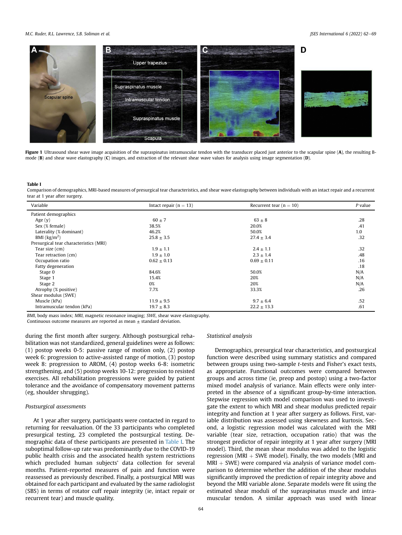#### <span id="page-3-0"></span>M.C. Ruder, R.L. Lawrence, S.B. Soliman et al. Journal of the state of the state of the state of the state of the state of the state of the state of the state of the state of the state of the state of the state of the stat



Figure 1 Ultrasound shear wave image acquisition of the supraspinatus intramuscular tendon with the transducer placed just anterior to the scapular spine (A), the resulting Bmode (B) and shear wave elastography (C) images, and extraction of the relevant shear wave values for analysis using image segmentation (D).

#### Table I

Comparison of demographics, MRI-based measures of presurgical tear characteristics, and shear wave elastography between individuals with an intact repair and a recurrent tear at 1 year after surgery.

| Variable                               | Intact repair $(n = 13)$ | Recurrent tear ( $n = 10$ ) | P value |
|----------------------------------------|--------------------------|-----------------------------|---------|
| Patient demographics                   |                          |                             |         |
| Age $(y)$                              | $60 \pm 7$               | $63 \pm 8$                  | .28     |
| Sex (% female)                         | 38.5%                    | 20.0%                       | .41     |
| Laterality (% dominant)                | 46.2%                    | 50.0%                       | 1.0     |
| BMI $\frac{kg}{m^2}$                   | $25.8 \pm 3.5$           | $27.4 \pm 3.4$              | .32     |
| Presurgical tear characteristics (MRI) |                          |                             |         |
| Tear size (cm)                         | $1.9 \pm 1.1$            | $2.4 \pm 1.1$               | .32     |
| Tear retraction (cm)                   | $1.9 \pm 1.0$            | $2.3 \pm 1.4$               | .48     |
| Occupation ratio                       | $0.62 \pm 0.13$          | $0.69 \pm 0.11$             | .16     |
| Fatty degeneration                     |                          |                             | .18     |
| Stage 0                                | 84.6%                    | 50.0%                       | N/A     |
| Stage 1                                | 15.4%                    | 20%                         | N/A     |
| Stage 2                                | 0%                       | 20%                         | N/A     |
| Atrophy (% positive)                   | 7.7%                     | 33.3%                       | .26     |
| Shear modulus (SWE)                    |                          |                             |         |
| Muscle (kPa)                           | $11.9 \pm 9.5$           | $9.7 \pm 6.4$               | .52     |
| Intramuscular tendon (kPa)             | $19.7 \pm 8.3$           | $22.2 \pm 13.3$             | .61     |

BMI, body mass index; MRI, magnetic resonance imaging; SWE, shear wave elastography.

Continuous outcome measures are reported as mean  $\pm$  standard deviation.

during the first month after surgery. Although postsurgical rehabilitation was not standardized, general guidelines were as follows: (1) postop weeks 0-5: passive range of motion only, (2) postop week 6: progression to active-assisted range of motion, (3) postop week 8: progression to AROM, (4) postop weeks 6-8: isometric strengthening, and (5) postop weeks 10-12: progression to resisted exercises. All rehabilitation progressions were guided by patient tolerance and the avoidance of compensatory movement patterns (eg, shoulder shrugging).

#### Postsurgical assessments

At 1 year after surgery, participants were contacted in regard to returning for reevaluation. Of the 33 participants who completed presurgical testing, 23 completed the postsurgical testing. Demographic data of these participants are presented in Table I. The suboptimal follow-up rate was predominantly due to the COVID-19 public health crisis and the associated health system restrictions which precluded human subjects' data collection for several months. Patient-reported measures of pain and function were reassessed as previously described. Finally, a postsurgical MRI was obtained for each participant and evaluated by the same radiologist (SBS) in terms of rotator cuff repair integrity (ie, intact repair or recurrent tear) and muscle quality.

#### Statistical analysis

Demographics, presurgical tear characteristics, and postsurgical function were described using summary statistics and compared between groups using two-sample t-tests and Fisher's exact tests, as appropriate. Functional outcomes were compared between groups and across time (ie, preop and postop) using a two-factor mixed model analysis of variance. Main effects were only interpreted in the absence of a significant group-by-time interaction. Stepwise regression with model comparison was used to investigate the extent to which MRI and shear modulus predicted repair integrity and function at 1 year after surgery as follows. First, variable distribution was assessed using skewness and kurtosis. Second, a logistic regression model was calculated with the MRI variable (tear size, retraction, occupation ratio) that was the strongest predictor of repair integrity at 1 year after surgery (MRI model). Third, the mean shear modulus was added to the logistic regression (MRI  $+$  SWE model). Finally, the two models (MRI and  $MRI + SWE$ ) were compared via analysis of variance model comparison to determine whether the addition of the shear modulus significantly improved the prediction of repair integrity above and beyond the MRI variable alone. Separate models were fit using the estimated shear moduli of the supraspinatus muscle and intramuscular tendon. A similar approach was used with linear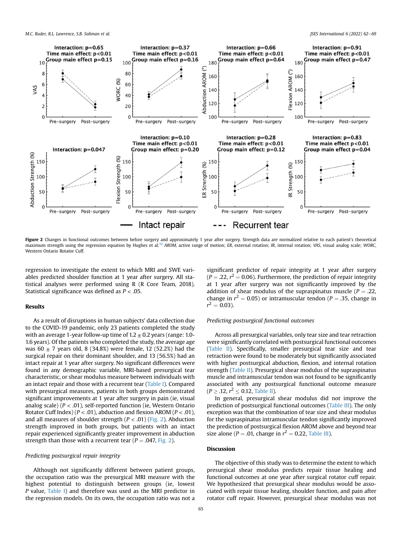

**Figure 2** Changes in functional outcomes between before surgery and approximately 1 year after surgery. Strength data are normalized relative to each patient's theoretical<br>maximum strength using the regression equation by Western Ontario Rotator Cuff.

regression to investigate the extent to which MRI and SWE variables predicted shoulder function at 1 year after surgery. All statistical analyses were performed using R (R Core Team, 2018). Statistical significance was defined as  $P < .05$ .

# Results

As a result of disruptions in human subjects' data collection due to the COVID-19 pandemic, only 23 patients completed the study with an average 1-year follow-up time of  $1.2 \pm 0.2$  years (range: 1.0-1.6 years). Of the patients who completed the study, the average age was  $60 \pm 7$  years old, 8 (34.8%) were female, 12 (52.2%) had the surgical repair on their dominant shoulder, and 13 (56.5%) had an intact repair at 1 year after surgery. No significant differences were found in any demographic variable, MRI-based presurgical tear characteristic, or shear modulus measure between individuals with an intact repair and those with a recurrent tear ([Table I\)](#page-3-0). Compared with presurgical measures, patients in both groups demonstrated significant improvements at 1 year after surgery in pain (ie, visual analog scale) ( $P < .01$ ), self-reported function (ie, Western Ontario Rotator Cuff Index) ( $P < .01$ ), abduction and flexion AROM ( $P < .01$ ), and all measures of shoulder strength  $(P < .01)$  (Fig. 2). Abduction strength improved in both groups, but patients with an intact repair experienced significantly greater improvement in abduction strength than those with a recurrent tear ( $P = .047$ , Fig. 2).

#### Predicting postsurgical repair integrity

Although not significantly different between patient groups, the occupation ratio was the presurgical MRI measure with the highest potential to distinguish between groups (ie, lowest P value, [Table I](#page-3-0)) and therefore was used as the MRI predictor in the regression models. On its own, the occupation ratio was not a

significant predictor of repair integrity at 1 year after surgery  $(P = .22, r<sup>2</sup> = 0.06)$ . Furthermore, the prediction of repair integrity at 1 year after surgery was not significantly improved by the addition of shear modulus of the supraspinatus muscle ( $P = .22$ , change in  $r^2 = 0.05$ ) or intramuscular tendon ( $P = .35$ , change in  $r^2 = 0.03$ ).

#### Predicting postsurgical functional outcomes

Across all presurgical variables, only tear size and tear retraction were significantly correlated with postsurgical functional outcomes ([Table II](#page-5-0)). Specifically, smaller presurgical tear size and tear retraction were found to be moderately but significantly associated with higher postsurgical abduction, flexion, and internal rotation strength ([Table II\)](#page-5-0). Presurgical shear modulus of the supraspinatus muscle and intramuscular tendon was not found to be significantly associated with any postsurgical functional outcome measure  $(P \geq .12, r^2 \leq .012,$  [Table II\)](#page-5-0).

In general, presurgical shear modulus did not improve the prediction of postsurgical functional outcomes ([Table III\)](#page-5-0). The only exception was that the combination of tear size and shear modulus for the supraspinatus intramuscular tendon significantly improved the prediction of postsurgical flexion AROM above and beyond tear size alone ( $P = .01$ , change in  $r^2 = 0.22$ , [Table III](#page-5-0)).

### Discussion

The objective of this study was to determine the extent to which presurgical shear modulus predicts repair tissue healing and functional outcomes at one year after surgical rotator cuff repair. We hypothesized that presurgical shear modulus would be associated with repair tissue healing, shoulder function, and pain after rotator cuff repair. However, presurgical shear modulus was not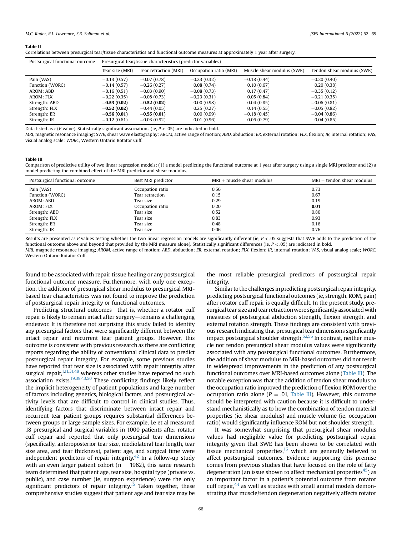#### <span id="page-5-0"></span>Table II

Correlations between presurgical tear/tissue characteristics and functional outcome measures at approximately 1 year after surgery.

| Postsurgical functional outcome | Presurgical tear/tissue characteristics (predictor variables) |                       |                        |                            |                            |  |
|---------------------------------|---------------------------------------------------------------|-----------------------|------------------------|----------------------------|----------------------------|--|
|                                 | Tear size (MRI)                                               | Tear retraction (MRI) | Occupation ratio (MRI) | Muscle shear modulus (SWE) | Tendon shear modulus (SWE) |  |
| Pain (VAS)                      | $-0.13(0.57)$                                                 | $-0.07(0.78)$         | $-0.23(0.32)$          | $-0.18(0.44)$              | $-0.20(0.40)$              |  |
| Function (WORC)                 | $-0.14(0.57)$                                                 | $-0.26(0.27)$         | 0.08(0.74)             | 0.10(0.67)                 | 0.20(0.38)                 |  |
| AROM: ABD                       | $-0.16(0.51)$                                                 | $-0.03(0.90)$         | $-0.08(0.73)$          | 0.17(0.47)                 | $-0.35(0.12)$              |  |
| AROM: FLX                       | $-0.22(0.35)$                                                 | $-0.08(0.73)$         | $-0.23(0.31)$          | 0.05(0.84)                 | $-0.21(0.35)$              |  |
| Strength: ABD                   | $-0.53(0.02)$                                                 | $-0.52(0.02)$         | 0.00(0.98)             | 0.04(0.85)                 | $-0.06(0.81)$              |  |
| Strength: FLX                   | $-0.52(0.02)$                                                 | $-0.44(0.05)$         | 0.25(0.27)             | 0.14(0.55)                 | $-0.05(0.82)$              |  |
| Strength: ER                    | $-0.56(0.01)$                                                 | $-0.55(0.01)$         | 0.00(0.99)             | $-0.18(0.45)$              | $-0.04(0.86)$              |  |
| Strength: IR                    | $-0.12(0.61)$                                                 | $-0.03(0.92)$         | 0.01(0.96)             | 0.06(0.79)                 | 0.04(0.85)                 |  |

Data listed as  $r$  (P value). Statistically significant associations (ie,  $P < .05$ ) are indicated in bold.

MRI, magnetic resonance imaging; SWE, shear wave elastography; AROM, active range of motion; ABD, abduction; ER, external rotation; FLX, flexion; IR, internal rotation; VAS, visual analog scale; WORC, Western Ontario Rotator Cuff.

#### Table III

Comparison of predictive utility of two linear regression models: (1) a model predicting the functional outcome at 1 year after surgery using a single MRI predictor and (2) a model predicting the combined effect of the MRI predictor and shear modulus.

| Postsurgical functional outcome | Best MRI predictor | $MRI + muscle shear$ modulus | $MRI + tendon shear$ modulus |
|---------------------------------|--------------------|------------------------------|------------------------------|
| Pain (VAS)                      | Occupation ratio   | 0.56                         | 0.73                         |
| Function (WORC)                 | Tear retraction    | 0.15                         | 0.67                         |
| AROM: ABD                       | Tear size          | 0.29                         | 0.19                         |
| AROM: FLX                       | Occupation ratio   | 0.20                         | 0.01                         |
| Strength: ABD                   | Tear size          | 0.52                         | 0.80                         |
| Strength: FLX                   | Tear size          | 0.83                         | 0.93                         |
| Strength: ER                    | Tear size          | 0.48                         | 0.16                         |
| Strength: IR                    | Tear size          | 0.06                         | 0.76                         |

Results are presented as P values testing whether the two linear regression models are significantly different (ie, P < .05 suggests that SWE adds to the prediction of the functional outcome above and beyond that provided by the MRI measure alone). Statistically significant differences (ie,  $P < .05$ ) are indicated in bold. MRI, magnetic resonance imaging; AROM, active range of motion; ABD, abduction; ER, external rotation; FLX, flexion; IR, internal rotation; VAS, visual analog scale; WORC, Western Ontario Rotator Cuff.

found to be associated with repair tissue healing or any postsurgical functional outcome measure. Furthermore, with only one exception, the addition of presurgical shear modulus to presurgical MRIbased tear characteristics was not found to improve the prediction of postsurgical repair integrity or functional outcomes.

Predicting structural outcomes—that is, whether a rotator cuff repair is likely to remain intact after surgery—remains a challenging endeavor. It is therefore not surprising this study failed to identify any presurgical factors that were significantly different between the intact repair and recurrent tear patient groups. However, this outcome is consistent with previous research as there are conflicting reports regarding the ability of conventional clinical data to predict postsurgical repair integrity. For example, some previous studies have reported that tear size is associated with repair integrity after surgical repair,<sup>1,[11,31,48](#page-7-0)</sup> whereas other studies have reported no such association exists.<sup>19,39,[43,50](#page-7-0)</sup> These conflicting findings likely reflect the implicit heterogeneity of patient populations and large number of factors including genetics, biological factors, and postsurgical activity levels that are difficult to control in clinical studies. Thus, identifying factors that discriminate between intact repair and recurrent tear patient groups requires substantial differences between groups or large sample sizes. For example, Le et al measured 18 presurgical and surgical variables in 1000 patients after rotator cuff repair and reported that only presurgical tear dimensions (specifically, anteroposterior tear size, mediolateral tear length, tear size area, and tear thickness), patient age, and surgical time were independent predictors of repair integrity.<sup>42</sup> In a follow-up study with an even larger patient cohort ( $n = 1962$ ), this same research team determined that patient age, tear size, hospital type (private vs. public), and case number (ie, surgeon experience) were the only significant predictors of repair integrity.<sup>15</sup> Taken together, these comprehensive studies suggest that patient age and tear size may be

the most reliable presurgical predictors of postsurgical repair integrity.

Similar to the challenges in predicting postsurgical repair integrity, predicting postsurgical functional outcomes (ie, strength, ROM, pain) after rotator cuff repair is equally difficult. In the present study, presurgical tear size and tear retractionwere significantly associated with measures of postsurgical abduction strength, flexion strength, and external rotation strength. These findings are consistent with previous research indicating that presurgical tear dimensions significantly impact postsurgical shoulder strength.<sup>52,[56](#page-8-0)</sup> In contrast, neither muscle nor tendon presurgical shear modulus values were significantly associated with any postsurgical functional outcomes. Furthermore, the addition of shear modulus to MRI-based outcomes did not result in widespread improvements in the prediction of any postsurgical functional outcomes over MRI-based outcomes alone (Table III). The notable exception was that the addition of tendon shear modulus to the occupation ratio improved the prediction of flexion ROM over the occupation ratio alone ( $P = .01$ , Table III). However, this outcome should be interpreted with caution because it is difficult to understand mechanistically as to how the combination of tendon material properties (ie, shear modulus) and muscle volume (ie, occupation ratio) would significantly influence ROM but not shoulder strength.

It was somewhat surprising that presurgical shear modulus values had negligible value for predicting postsurgical repair integrity given that SWE has been shown to be correlated with tissue mechanical properties, $16$  which are generally believed to affect postsurgical outcomes. Evidence supporting this premise comes from previous studies that have focused on the role of fatty degeneration (an issue shown to affect mechanical properties<sup>45</sup>) as an important factor in a patient's potential outcome from rotator cuff repair, $44$  as well as studies with small animal models demonstrating that muscle/tendon degeneration negatively affects rotator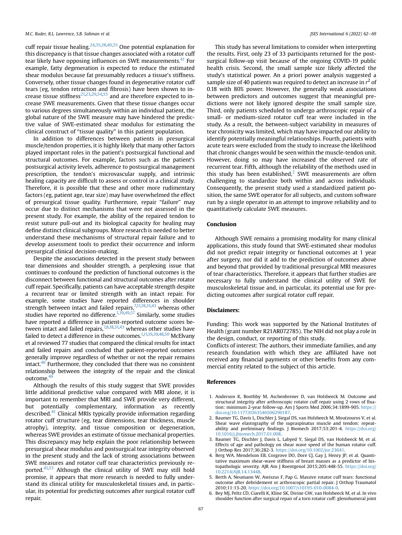<span id="page-6-0"></span>cuff repair tissue healing.<sup>[24](#page-7-0),[35,38](#page-7-0),[40](#page-7-0)[,55](#page-8-0)</sup> One potential explanation for this discrepancy is that tissue changes associated with a rotator cuff tear likely have opposing influences on SWE measurements.<sup>[41](#page-7-0)</sup> For example, fatty degeneration is expected to reduce the estimated shear modulus because fat presumably reduces a tissue's stiffness. Conversely, other tissue changes found in degenerative rotator cuff tears (eg, tendon retraction and fibrosis) have been shown to in-crease tissue stiffness<sup>[21,23](#page-7-0),[29,](#page-7-0)[54](#page-8-0),[55](#page-8-0)</sup> and are therefore expected to increase SWE measurements. Given that these tissue changes occur to various degrees simultaneously within an individual patient, the global nature of the SWE measure may have hindered the predictive value of SWE-estimated shear modulus for estimating the clinical construct of "tissue quality" in this patient population.

In addition to differences between patients in presurgical muscle/tendon properties, it is highly likely that many other factors played important roles in the patient's postsurgical functional and structural outcomes. For example, factors such as the patient's postsurgical activity levels, adherence to postsurgical management prescription, the tendon's microvascular supply, and intrinsic healing capacity are difficult to assess or control in a clinical study. Therefore, it is possible that these and other more rudimentary factors (eg, patient age, tear size) may have overwhelmed the effect of presurgical tissue quality. Furthermore, repair "failure" may occur due to distinct mechanisms that were not assessed in the present study. For example, the ability of the repaired tendon to resist suture pull-out and its biological capacity for healing may define distinct clinical subgroups. More research is needed to better understand these mechanisms of structural repair failure and to develop assessment tools to predict their occurrence and inform presurgical clinical decision-making.

Despite the associations detected in the present study between tear dimensions and shoulder strength, a perplexing issue that continues to confound the prediction of functional outcomes is the disconnect between functional and structural outcomes after rotator cuff repair. Specifically, patients can have acceptable strength despite a recurrent tear or limited strength with an intact repair. For example, some studies have reported differences in shoulder strength between intact and failed repairs,  $7,11,18,31,43$  whereas other studies have reported no difference.<sup>1,[39,49](#page-7-0)[,57](#page-8-0)</sup> Similarly, some studies have reported a difference in patient-reported outcome scores between intact and failed repairs,  $7,8,18,31,43$  $7,8,18,31,43$  whereas other studies have failed to detect a difference in these outcomes.<sup>1[,11,19,39](#page-7-0),[48,50](#page-7-0)</sup> McElvany et al reviewed 77 studies that compared the clinical results for intact and failed repairs and concluded that patient-reported outcomes generally improve regardless of whether or not the repair remains intact.<sup>46</sup> Furthermore, they concluded that there was no consistent relationship between the integrity of the repair and the clinical outcome.<sup>4</sup>

Although the results of this study suggest that SWE provides little additional predictive value compared with MRI alone, it is important to remember that MRI and SWE provide very different, but potentially complementary, information as recently described.<sup>[41](#page-7-0)</sup> Clinical MRIs typically provide information regarding rotator cuff structure (eg, tear dimensions, tear thickness, muscle atrophy), integrity, and tissue composition or degeneration, whereas SWE provides an estimate of tissue mechanical properties. This discrepancy may help explain the poor relationship between presurgical shear modulus and postsurgical tear integrity observed in the present study and the lack of strong associations between SWE measures and rotator cuff tear characteristics previously re-ported.<sup>[41](#page-7-0)[,53](#page-8-0)</sup> Although the clinical utility of SWE may still hold promise, it appears that more research is needed to fully understand its clinical utility for musculoskeletal tissues and, in particular, its potential for predicting outcomes after surgical rotator cuff repair.

This study has several limitations to consider when interpreting the results. First, only 23 of 33 participants returned for the postsurgical follow-up visit because of the ongoing COVID-19 public health crisis. Second, the small sample size likely affected the study's statistical power. An a priori power analysis suggested a sample size of 40 patients was required to detect an increase in  $r^2$  of 0.18 with 80% power. However, the generally weak associations between predictors and outcomes suggest that meaningful predictions were not likely ignored despite the small sample size. Third, only patients scheduled to undergo arthroscopic repair of a small- or medium-sized rotator cuff tear were included in the study. As a result, the between-subject variability in measures of tear chronicity was limited, which may have impacted our ability to identify potentially meaningful relationships. Fourth, patients with acute tears were excluded from the study to increase the likelihood that chronic changes would be seen within the muscle-tendon unit. However, doing so may have increased the observed rate of recurrent tear. Fifth, although the reliability of the methods used in this study has been established, $2$  SWE measurements are often challenging to standardize both within and across individuals. Consequently, the present study used a standardized patient position, the same SWE operator for all subjects, and custom software run by a single operator in an attempt to improve reliability and to quantitatively calculate SWE measures.

# Conclusion

Although SWE remains a promising modality for many clinical applications, this study found that SWE-estimated shear modulus did not predict repair integrity or functional outcomes at 1 year after surgery, nor did it add to the prediction of outcomes above and beyond that provided by traditional presurgical MRI measures of tear characteristics. Therefore, it appears that further studies are necessary to fully understand the clinical utility of SWE for musculoskeletal tissue and, in particular, its potential use for predicting outcomes after surgical rotator cuff repair.

# Disclaimers:

Funding: This work was supported by the National Institutes of Health (grant number R21AR072785). The NIH did not play a role in the design, conduct, or reporting of this study.

Conflicts of interest: The authors, their immediate families, and any research foundation with which they are affiliated have not received any financial payments or other benefits from any commercial entity related to the subject of this article.

#### References

- 1. Anderson K, Boothby M, Aschenbrener D, van Holsbeeck M. Outcome and structural integrity after arthroscopic rotator cuff repair using 2 rows of fixation: minimum 2-year follow-up. Am J Sports Med 2006;34:1899-905. [https://](https://doi.org/10.1177/0363546506290187) [doi.org/10.1177/0363546506290187](https://doi.org/10.1177/0363546506290187).
- 2. Baumer TG, Davis L, Dischler J, Siegal DS, van Holsbeeck M, Moutzouros V, et al. Shear wave elastography of the supraspinatus muscle and tendon: repeatability and preliminary findings. J Biomech 2017;53:201-4. [https://doi.org/](https://doi.org/10.1016/j.jbiomech.2017.01.008) [10.1016/j.jbiomech.2017.01.008](https://doi.org/10.1016/j.jbiomech.2017.01.008).
- 3. Baumer TG, Dischler J, Davis L, Labyed Y, Siegal DS, van Holsbeeck M, et al. Effects of age and pathology on shear wave speed of the human rotator cuff. J Orthop Res 2017;36:282-3. <https://doi.org/10.1002/jor.23641>.
- 4. Berg WA, Mendelson EB, Cosgrove DO, Dore CJ, Gay J, Henry JP, et al. Quantitative maximum shear-wave stiffness of breast masses as a predictor of histopathologic severity. AJR Am J Roentgenol 2015;205:448-55. [https://doi.org/](https://doi.org/10.2214/AJR.14.13448) [10.2214/AJR.14.13448.](https://doi.org/10.2214/AJR.14.13448)
- 5. Berth A, Neumann W, Awiszus F, Pap G. Massive rotator cuff tears: functional outcome after debridement or arthroscopic partial repair. J Orthop Traumatol 2010;11:13-20. <https://doi.org/10.1007/s10195-010-0084-0>.
- 6. Bey MJ, Peltz CD, Ciarelli K, Kline SK, Divine GW, van Holsbeeck M, et al. In vivo shoulder function after surgical repair of a torn rotator cuff: glenohumeral joint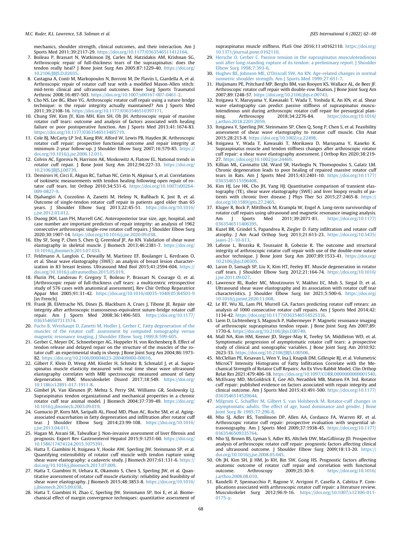<span id="page-7-0"></span>mechanics, shoulder strength, clinical outcomes, and their interaction. Am J Sports Med 2011;39:2117-29. <https://doi.org/10.1177/0363546511412164>.

- 7. Boileau P, Brassart N, Watkinson DJ, Carles M, Hatzidakis AM, Krishnan SG. Arthroscopic repair of full-thickness tears of the supraspinatus: does the tendon really heal? J Bone Joint Surg Am 2005;87:1229-40. [https://doi.org/](https://doi.org/10.2106/JBJS.D.02035) [10.2106/JBJS.D.02035.](https://doi.org/10.2106/JBJS.D.02035)
- 8. Castagna A, Conti M, Markopoulos N, Borroni M, De Flaviis L, Giardella A, et al. Arthroscopic repair of rotator cuff tear with a modified Mason-Allen stitch: mid-term clinical and ultrasound outcomes. Knee Surg Sports Traumatol Arthrosc 2008;16:497-503. [https://doi.org/10.1007/s00167-007-0461-2.](https://doi.org/10.1007/s00167-007-0461-2)
- 9. Cho NS, Lee BG, Rhee YG. Arthroscopic rotator cuff repair using a suture bridge technique: is the repair integrity actually maintained? Am J Sports Med 2011;39:2108-16. <https://doi.org/10.1177/0363546510397171>.
- 10. Chung SW, Kim JY, Kim MH, Kim SH, Oh JH. Arthroscopic repair of massive rotator cuff tears: outcome and analysis of factors associated with healing failure or poor postoperative function. Am J Sports Med 2013;41:1674-83. [https://doi.org/10.1177/0363546513485719.](https://doi.org/10.1177/0363546513485719)
- 11. Cole BJ, McCarty LP 3rd, Kang RW, Alford W, Lewis PB, Hayden JK. Arthroscopic rotator cuff repair: prospective functional outcome and repair integrity at minimum 2-year follow-up. J Shoulder Elbow Surg 2007;16:579-85. [https://](https://doi.org/10.1016/j.jse.2006.12.011) [doi.org/10.1016/j.jse.2006.12.011](https://doi.org/10.1016/j.jse.2006.12.011).
- 12. Colvin AC, Egorova N, Harrison AK, Moskowitz A, Flatow EL. National trends in rotator cuff repair. J Bone Joint Surg Am 2012;94:227-33. [https://doi.org/](https://doi.org/10.2106/JBJS.J.00739) [10.2106/JBJS.J.00739.](https://doi.org/10.2106/JBJS.J.00739)
- 13. Demirors H, Circi E, Akgun RC, Tarhan NC, Cetin N, Akpinar S, et al. Correlations of isokinetic measurements with tendon healing following open repair of rotator cuff tears. Int Orthop 2010;34:531-6. [https://doi.org/10.1007/s00264-](https://doi.org/10.1007/s00264-009-0827-9) [009-0827-9](https://doi.org/10.1007/s00264-009-0827-9).
- 14. Djahangiri A, Cozzolino A, Zanetti M, Helmy N, Rufibach K, Jost B, et al. Outcome of single-tendon rotator cuff repair in patients aged older than 65 years. J Shoulder Elbow Surg 2013;22:45-51. [https://doi.org/10.1016/](https://doi.org/10.1016/j.jse.2012.03.012) [j.jse.2012.03.012](https://doi.org/10.1016/j.jse.2012.03.012).
- 15. Duong JKH, Lam PH, Murrell GAC. Anteroposterior tear size, age, hospital, and case number are important predictors of repair integrity: an analysis of 1962 consecutive arthroscopic single-row rotator cuff repairs. J Shoulder Elbow Surg 2020;30:1907-14. <https://doi.org/10.1016/j.jse.2020.09.038>.
- 16. Eby SF, Song P, Chen S, Chen Q, Greenleaf JF, An KN. Validation of shear wave elastography in skeletal muscle. J Biomech 2013;46:2381-7. [https://doi.org/](https://doi.org/10.1016/j.jbiomech.2013.07.033) [10.1016/j.jbiomech.2013.07.033.](https://doi.org/10.1016/j.jbiomech.2013.07.033)
- 17. Feldmann A, Langlois C, Dewailly M, Martinez EF, Boulanger L, Kerdraon O, et al. Shear wave elastography (SWE): an analysis of breast lesion characterization in 83 breast lesions. Ultrasound Med Biol 2015;41:2594-604. [https://](https://doi.org/10.1016/j.ultrasmedbio.2015.05.019) [doi.org/10.1016/j.ultrasmedbio.2015.05.019](https://doi.org/10.1016/j.ultrasmedbio.2015.05.019).
- 18. Flurin PH, Landreau P, Gregory T, Boileau P, Brassart N, Courage O, et al. [Arthroscopic repair of full-thickness cuff tears: a multicentric retrospective study of 576 cases with anatomical assessment]. Rev Chir Orthop Reparatrice Appar Mot 2005;91:31-42. [https://doi.org/10.1016/s0035-1040\(05\)84503-9](https://doi.org/10.1016/s0035-1040(05)84503-9) [in French]
- 19. Frank JB, ElAttrache NS, Dines JS, Blackburn A, Crues J, Tibone JE. Repair site integrity after arthroscopic transosseous-equivalent suture-bridge rotator cuff repair. Am J Sports Med 2008;36:1496-503. [https://doi.org/10.1177/](https://doi.org/10.1177/0363546507313574) [0363546507313574](https://doi.org/10.1177/0363546507313574).
- 20. [Fuchs B, Weishaupt D, Zanetti M, Hodler J, Gerber C. Fatty degeneration of the](http://refhub.elsevier.com/S2666-6383(21)00232-2/sref20) [muscles of the rotator cuff: assessment by computed tomography versus](http://refhub.elsevier.com/S2666-6383(21)00232-2/sref20) [magnetic resonance imaging. J Shoulder Elbow Surg 1999;8:599-605.](http://refhub.elsevier.com/S2666-6383(21)00232-2/sref20)
- 21. Gerber C, Meyer DC, Schneeberger AG, Hoppeler H, von Rechenberg B. Effect of tendon release and delayed repair on the structure of the muscles of the rotator cuff: an experimental study in sheep. J Bone Joint Surg Am 2004;86:1973- 82. <https://doi.org/10.2106/00004623-200409000-00016>.
- 22. Gilbert F, Klein D, Weng AM, Köstler H, Schmitz B, Schmalzl J, et al. Supraspinatus muscle elasticity measured with real time shear wave ultrasound elastography correlates with MRI spectroscopic measured amount of fatty degeneration. BMC Musculoskelet Disord 2017;18:549. [https://doi.org/](https://doi.org/10.1186/s12891-017-1911-8) [10.1186/s12891-017-1911-8.](https://doi.org/10.1186/s12891-017-1911-8)
- 23. Gimbel JA, Van Kleunen JP, Mehta S, Perry SM, Williams GR, Soslowsky LJ. Supraspinatus tendon organizational and mechanical properties in a chronic rotator cuff tear animal model. J Biomech 2004;37:739-49. [https://doi.org/](https://doi.org/10.1016/j.jbiomech.2003.09.019) [10.1016/j.jbiomech.2003.09.019.](https://doi.org/10.1016/j.jbiomech.2003.09.019)
- 24. Gumucio JP, Korn MA, Saripalli AL, Flood MD, Phan AC, Roche SM, et al. Agingassociated exacerbation in fatty degeneration and infiltration after rotator cuff tear. J Shoulder Elbow Surg 2014;23:99-108. [https://doi.org/10.1016/](https://doi.org/10.1016/j.jse.2013.04.011) [j.jse.2013.04.011](https://doi.org/10.1016/j.jse.2013.04.011).
- 25. Hagan M, Asrani SK, Talwalkar J. Non-invasive assessment of liver fibrosis and prognosis. Expert Rev Gastroenterol Hepatol 2015;9:1251-60. [https://doi.org/](https://doi.org/10.1586/17474124.2015.1075391) [10.1586/17474124.2015.1075391](https://doi.org/10.1586/17474124.2015.1075391).
- 26. Hatta T, Giambini H, Itoigawa Y, Hooke AW, Sperling JW, Steinmann SP, et al. Quantifying extensibility of rotator cuff muscle with tendon rupture using shear wave elastography: a cadaveric study. J Biomech 2017;61:131-6. [https://](https://doi.org/10.1016/j.jbiomech.2017.07.009) [doi.org/10.1016/j.jbiomech.2017.07.009](https://doi.org/10.1016/j.jbiomech.2017.07.009).
- 27. Hatta T, Giambini H, Uehara K, Okamoto S, Chen S, Sperling JW, et al. Quantitative assessment of rotator cuff muscle elasticity: reliability and feasibility of shear wave elastography. J Biomech 2015;48:3853-8. [https://doi.org/10.1016/](https://doi.org/10.1016/j.jbiomech.2015.09.038) [j.jbiomech.2015.09.038](https://doi.org/10.1016/j.jbiomech.2015.09.038).
- 28. Hatta T, Giambini H, Zhao C, Sperling JW, Steinmann SP, Itoi E, et al. Biomechanical effect of margin convergence techniques: quantitative assessment of

supraspinatus muscle stiffness. PLoS One 2016;11:e0162110. [https://doi.org/](https://doi.org/10.1371/journal.pone.0162110) [10.1371/journal.pone.0162110.](https://doi.org/10.1371/journal.pone.0162110)

- 29. [Hersche O, Gerber C. Passive tension in the supraspinatus musculotendinous](http://refhub.elsevier.com/S2666-6383(21)00232-2/sref29) [unit after long-standing rupture of its tendon: a preliminary report. J Shoulder](http://refhub.elsevier.com/S2666-6383(21)00232-2/sref29) [Elbow Surg 1998;7:393-6](http://refhub.elsevier.com/S2666-6383(21)00232-2/sref29).
- 30. [Hughes RE, Johnson ME, O'Driscoll SW, An KN. Age-related changes in normal](http://refhub.elsevier.com/S2666-6383(21)00232-2/sref30) [isometric shoulder strength. Am J Sports Med 1999;27:651-7](http://refhub.elsevier.com/S2666-6383(21)00232-2/sref30).
- 31. Huijsmans PE, Pritchard MP, Berghs BM, van Rooyen KS, Wallace AL, de Beer JF. Arthroscopic rotator cuff repair with double-row fixation. J Bone Joint Surg Am 2007;89:1248-57. [https://doi.org/10.2106/jbjs.e.00743.](https://doi.org/10.2106/jbjs.e.00743)
- 32. Itoigawa Y, Maruyama Y, Kawasaki T, Wada T, Yoshida K, An KN, et al. Shear wave elastography can predict passive stiffness of supraspinatus musculotendinous unit during arthroscopic rotator cuff repair for presurgical planning. Arthroscopy 2018;34:2276-84. [https://doi.org/10.1016/](https://doi.org/10.1016/j.arthro.2018.2201.2059) [j.arthro.2018.2201.2059](https://doi.org/10.1016/j.arthro.2018.2201.2059).
- 33. Itoigawa Y, Sperling JW, Steinmann SP, Chen Q, Song P, Chen S, et al. Feasibility assessment of shear wave elastography to rotator cuff muscle. Clin Anat 2015;28:213-8. <https://doi.org/10.1002/ca.22498>.
- 34. Itoigawa Y, Wada T, Kawasaki T, Morikawa D, Maruyama Y, Kaneko K. Supraspinatus muscle and tendon stiffness changes after arthroscopic rotator cuff repair: a shear wave elastography assessment. J Orthop Res 2020;38:219- 27. <https://doi.org/10.1002/jor.24469>.
- 35. Killian ML, Cavinatto LM, Ward SR, Havlioglu N, Thomopoulos S, Galatz LM. Chronic degeneration leads to poor healing of repaired massive rotator cuff tears in Rats. Am J Sports Med 2015;43:2401-10. [https://doi.org/10.1177/](https://doi.org/10.1177/0363546515596408) [0363546515596408](https://doi.org/10.1177/0363546515596408).
- 36. Kim HJ, Lee HK, Cho JH, Yang HJ. Quantitative comparison of transient elastography (TE), shear wave elastography (SWE) and liver biopsy results of patients with chronic liver disease. J Phys Ther Sci 2015;27:2465-8. [https://](https://doi.org/10.1589/jpts.27.2465) [doi.org/10.1589/jpts.27.2465.](https://doi.org/10.1589/jpts.27.2465)
- 37. Kluger R, Bock P, Mittlbock M, Krampla W, Engel A. Long-term survivorship of rotator cuff repairs using ultrasound and magnetic resonance imaging analysis.<br>
Am J Sports Med 2011;39:2071-81. https://doi.org/10.1177/ Am J Sports Med 2011;39:2071-81. [https://doi.org/10.1177/](https://doi.org/10.1177/0363546511406395) [0363546511406395](https://doi.org/10.1177/0363546511406395).
- 38. Kuzel BR, Grindel S, Papandrea R, Ziegler D. Fatty infiltration and rotator cuff atrophy. J Am Acad Orthop Surg 2013;21:613-23. [https://doi.org/10.5435/](https://doi.org/10.5435/jaaos-21-10-613) [jaaos-21-10-613.](https://doi.org/10.5435/jaaos-21-10-613)
- 39. Lafosse L, Brozska R, Toussaint B, Gobezie R. The outcome and structural integrity of arthroscopic rotator cuff repair with use of the double-row suture anchor technique. J Bone Joint Surg Am 2007;89:1533-41. [https://doi.org/](https://doi.org/10.2106/jbjs.f.00305) [10.2106/jbjs.f.00305](https://doi.org/10.2106/jbjs.f.00305).
- 40. Laron D, Samagh SP, Liu X, Kim HT, Feeley BT. Muscle degeneration in rotator cuff tears. J Shoulder Elbow Surg 2012;21:164-74. [https://doi.org/10.1016/](https://doi.org/10.1016/j.jse.2011.09.027) [j.jse.2011.09.027](https://doi.org/10.1016/j.jse.2011.09.027).
- 41. Lawrence RL, Ruder MC, Moutzouros V, Makhni EC, Muh S, Siegal D, et al. Ultrasound shear wave elastography and its association with rotator cuff tear characteristics. J Shoulder Elbow Surg Int 2021;5:500-6. [https://doi.org/](https://doi.org/10.1016/j.jseint.2020.11.008) [10.1016/j.jseint.2020.11.008](https://doi.org/10.1016/j.jseint.2020.11.008).
- 42. Le BT, Wu XL, Lam PH, Murrell GA. Factors predicting rotator cuff retears: an analysis of 1000 consecutive rotator cuff repairs. Am J Sports Med 2014;42: 1134-42. <https://doi.org/10.1177/0363546514525336>.
- 43. Liem D, Lichtenberg S, Magosch P, Habermeyer P. Magnetic resonance imaging of arthroscopic supraspinatus tendon repair. J Bone Joint Surg Am 2007;89: 1770-6. <https://doi.org/10.2106/jbjs.f.00749>.
- 44. Mall NA, Kim HM, Keener JD, Steger-May K, Teefey SA, Middleton WD, et al. Symptomatic progression of asymptomatic rotator cuff tears: a prospective study of clinical and sonographic variables. J Bone Joint Surg Am 2010;92: 2623-33. [https://doi.org/10.2106/JBJS.I.00506.](https://doi.org/10.2106/JBJS.I.00506)
- 45. McClellan PE, Kesavan L, Wen Y, Ina J, Knapik DM, Gillespie RJ, et al. Volumetric MicroCT Intensity Histograms of Fatty Infiltration Correlate with the Mechanical Strength of Rotator Cuff Repairs: An Ex Vivo Rabbit Model. Clin Orthop Relat Res 2021;479:406-18. <https://doi.org/10.1097/CORR.0000000000001540>.
- 46. McElvany MD, McGoldrick E, Gee AO, Neradilek MB, Matsen FA 3rd. Rotator cuff repair: published evidence on factors associated with repair integrity and clinical outcome. Am J Sports Med 2015;43:491-500. [https://doi.org/10.1177/](https://doi.org/10.1177/0363546514529644) [0363546514529644](https://doi.org/10.1177/0363546514529644).
- 47. Milgrom C, Schaffl[er M, Gilbert S, van Holsbeeck M. Rotator-cuff changes in](http://refhub.elsevier.com/S2666-6383(21)00232-2/sref47) [asymptomatic adults. The effect of age, hand dominance and gender. J Bone](http://refhub.elsevier.com/S2666-6383(21)00232-2/sref47) [Joint Surg Br 1995;77:296-8.](http://refhub.elsevier.com/S2666-6383(21)00232-2/sref47)
- 48. Nho SJ, Adler RS, Tomlinson DP, Allen AA, Cordasco FA, Warren RF, et al. Arthroscopic rotator cuff repair: prospective evaluation with sequential ultrasonography. Am J Sports Med 2009;37:1938-45. [https://doi.org/10.1177/](https://doi.org/10.1177/0363546509335764) [0363546509335764](https://doi.org/10.1177/0363546509335764).
- 49. Nho SJ, Brown BS, Lyman S, Adler RS, Altchek DW, MacGillivray JD. Prospective analysis of arthroscopic rotator cuff repair: prognostic factors affecting clinical and ultrasound outcome. J Shoulder Elbow Surg 2009;18:13-20. [https://](https://doi.org/10.1016/j.jse.2008.05.045) [doi.org/10.1016/j.jse.2008.05.045](https://doi.org/10.1016/j.jse.2008.05.045).
- 50. Oh JH, Kim SH, Ji HM, Jo KH, Bin SW, Gong HS. Prognostic factors affecting anatomic outcome of rotator cuff repair and correlation with functional<br>outcome. Arthroscopy 2009;25:30-9. https://doi.org/10.1016/ [https://doi.org/10.1016/](https://doi.org/10.1016/j.arthro.2008.08.010) [j.arthro.2008.08.010.](https://doi.org/10.1016/j.arthro.2008.08.010)
- 51. Randelli P, Spennacchio P, Ragone V, Arrigoni P, Casella A, Cabitza P. Complications associated with arthroscopic rotator cuff repair: a literature review. Musculoskelet Surg 2012;96:9-16. [https://doi.org/10.1007/s12306-011-](https://doi.org/10.1007/s12306-011-0175-y) [0175-y.](https://doi.org/10.1007/s12306-011-0175-y)